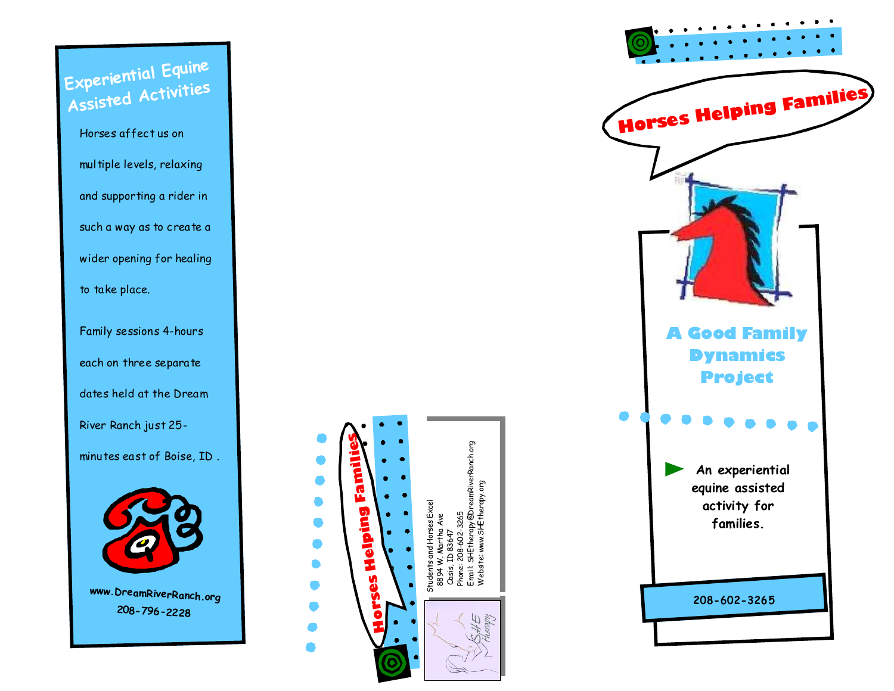**Experiential Equine** Assisted Activities

> Horses affect us on multiple levels, relaxing and supporting a rider in such a way as to create a wider opening for healing to take place.

Family sessions 4-hours each on three separate dates held at the Dream River Ranch just 25minutes east of Boise, ID.



www.DreamRiverRanch.org 208-796-2228



Щ

Horses Helping Families **A Good Family Dynamics Project** An experiential equine assisted activity for families. 208-602-3265